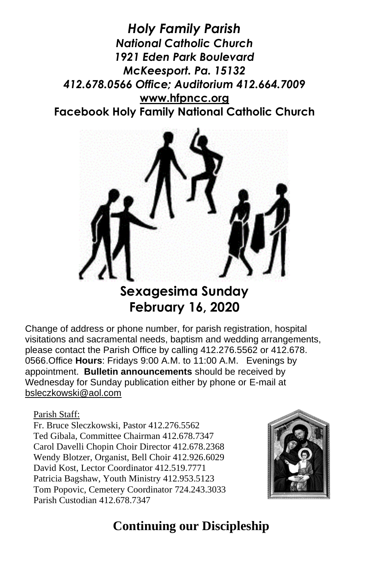*Holy Family Parish National Catholic Church 1921 Eden Park Boulevard McKeesport. Pa. 15132 412.678.0566 Office; Auditorium 412.664.7009* **[www.hfpncc.org](http://www.hfpncc.org/) Facebook Holy Family National Catholic Church**



## **Sexagesima Sunday February 16, 2020**

Change of address or phone number, for parish registration, hospital visitations and sacramental needs, baptism and wedding arrangements, please contact the Parish Office by calling 412.276.5562 or 412.678. 0566.Office **Hours**: Fridays 9:00 A.M. to 11:00 A.M. Evenings by appointment. **Bulletin announcements** should be received by Wednesday for Sunday publication either by phone or E-mail at [bsleczkowski@aol.com](mailto:bsleczkowski@aol.com)

Parish Staff:

Fr. Bruce Sleczkowski, Pastor 412.276.5562 Ted Gibala, Committee Chairman 412.678.7347 Carol Davelli Chopin Choir Director 412.678.2368 Wendy Blotzer, Organist, Bell Choir 412.926.6029 David Kost, Lector Coordinator 412.519.7771 Patricia Bagshaw, Youth Ministry 412.953.5123 Tom Popovic, Cemetery Coordinator 724.243.3033 Parish Custodian 412.678.7347



## **Continuing our Discipleship**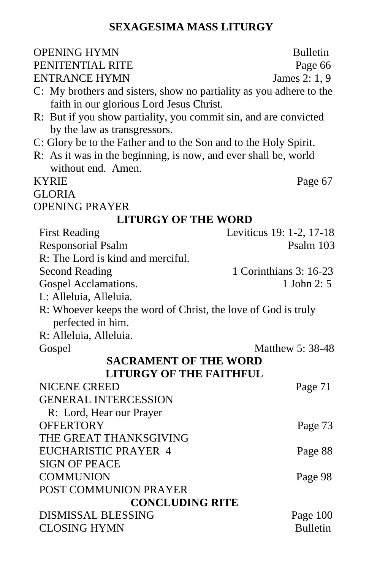#### **SEXAGESIMA MASS LITURGY**

| <b>OPENING HYMN</b>                                                 | <b>Bulletin</b>          |
|---------------------------------------------------------------------|--------------------------|
| PENITENTIAL RITE                                                    | Page 66                  |
| <b>ENTRANCE HYMN</b>                                                | James 2: 1, 9            |
| C: My brothers and sisters, show no partiality as you adhere to the |                          |
| faith in our glorious Lord Jesus Christ.                            |                          |
| R: But if you show partiality, you commit sin, and are convicted    |                          |
| by the law as transgressors.                                        |                          |
| C: Glory be to the Father and to the Son and to the Holy Spirit.    |                          |
| R: As it was in the beginning, is now, and ever shall be, world     |                          |
| without end. Amen.                                                  |                          |
| <b>KYRIE</b>                                                        | Page 67                  |
| <b>GLORIA</b>                                                       |                          |
| <b>OPENING PRAYER</b>                                               |                          |
| <b>LITURGY OF THE WORD</b>                                          |                          |
| <b>First Reading</b>                                                | Leviticus 19: 1-2, 17-18 |
| <b>Responsorial Psalm</b>                                           | Psalm 103                |
| R: The Lord is kind and merciful.                                   |                          |
| <b>Second Reading</b>                                               | 1 Corinthians 3: 16-23   |
| Gospel Acclamations.                                                | 1 John 2: 5              |
| L: Alleluia, Alleluia.                                              |                          |
| R: Whoever keeps the word of Christ, the love of God is truly       |                          |
| perfected in him.                                                   |                          |
| R: Alleluia, Alleluia.                                              |                          |
| Gospel                                                              | Matthew 5: 38-48         |
| <b>SACRAMENT OF THE WORD</b>                                        |                          |
| <b>LITURGY OF THE FAITHFUL</b>                                      |                          |
| <b>NICENE CREED</b>                                                 | Page 71                  |
| <b>GENERAL INTERCESSION</b>                                         |                          |
| R: Lord, Hear our Prayer                                            |                          |
| <b>OFFERTORY</b>                                                    | Page 73                  |
| THE GREAT THANKSGIVING                                              |                          |
| <b>EUCHARISTIC PRAYER 4</b>                                         | Page 88                  |
| <b>SIGN OF PEACE</b>                                                |                          |
| <b>COMMUNION</b>                                                    | Page 98                  |
| POST COMMUNION PRAYER                                               |                          |
| <b>CONCLUDING RITE</b>                                              |                          |
| <b>DISMISSAL BLESSING</b>                                           | Page 100                 |
| <b>CLOSING HYMN</b>                                                 | <b>Bulletin</b>          |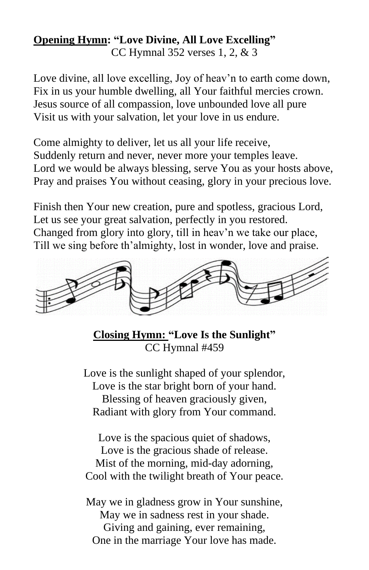# **Opening Hymn: "Love Divine, All Love Excelling"**

CC Hymnal 352 verses 1, 2, & 3

Love divine, all love excelling, Joy of heav'n to earth come down, Fix in us your humble dwelling, all Your faithful mercies crown. Jesus source of all compassion, love unbounded love all pure Visit us with your salvation, let your love in us endure.

Come almighty to deliver, let us all your life receive, Suddenly return and never, never more your temples leave. Lord we would be always blessing, serve You as your hosts above, Pray and praises You without ceasing, glory in your precious love.

Finish then Your new creation, pure and spotless, gracious Lord, Let us see your great salvation, perfectly in you restored. Changed from glory into glory, till in heav'n we take our place, Till we sing before th'almighty, lost in wonder, love and praise.



**Closing Hymn: "Love Is the Sunlight"** CC Hymnal #459

Love is the sunlight shaped of your splendor, Love is the star bright born of your hand. Blessing of heaven graciously given, Radiant with glory from Your command.

Love is the spacious quiet of shadows, Love is the gracious shade of release. Mist of the morning, mid-day adorning, Cool with the twilight breath of Your peace.

May we in gladness grow in Your sunshine, May we in sadness rest in your shade. Giving and gaining, ever remaining, One in the marriage Your love has made.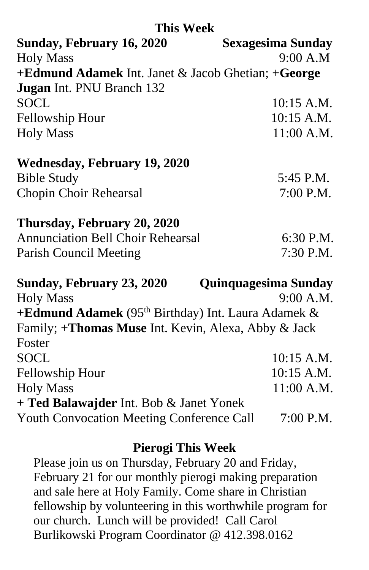#### **This Week**

| Sunday, February 16, 2020                          | <b>Sexagesima Sunday</b> |
|----------------------------------------------------|--------------------------|
| <b>Holy Mass</b>                                   | 9:00 A.M                 |
| +Edmund Adamek Int. Janet & Jacob Ghetian; +George |                          |
| <b>Jugan</b> Int. PNU Branch 132                   |                          |
| <b>SOCL</b>                                        | $10:15$ A.M.             |
| Fellowship Hour                                    | $10:15$ A.M.             |
| <b>Holy Mass</b>                                   | $11:00$ A.M.             |
|                                                    |                          |

| <b>Wednesday, February 19, 2020</b> |             |
|-------------------------------------|-------------|
| <b>Bible Study</b>                  | 5:45 P.M.   |
| Chopin Choir Rehearsal              | $7:00$ P.M. |

#### **Thursday, February 20, 2020**

| <b>Annunciation Bell Choir Rehearsal</b> | 6:30 P.M.   |
|------------------------------------------|-------------|
| Parish Council Meeting                   | $7:30$ P.M. |

| Sunday, February 23, 2020                                      | <b>Quinquagesima Sunday</b> |
|----------------------------------------------------------------|-----------------------------|
| <b>Holy Mass</b>                                               | 9:00 A.M.                   |
| +Edmund Adamek (95 <sup>th</sup> Birthday) Int. Laura Adamek & |                             |
| Family; +Thomas Muse Int. Kevin, Alexa, Abby & Jack            |                             |
| Foster                                                         |                             |
| <b>SOCL</b>                                                    | 10:15 A.M.                  |
| Fellowship Hour                                                | 10:15 A.M.                  |
| <b>Holy Mass</b>                                               | 11:00 A.M.                  |
| + Ted Balawajder Int. Bob & Janet Yonek                        |                             |
| <b>Youth Convocation Meeting Conference Call</b>               | 7:00 P.M.                   |

#### **Pierogi This Week**

Please join us on Thursday, February 20 and Friday, February 21 for our monthly pierogi making preparation and sale here at Holy Family. Come share in Christian fellowship by volunteering in this worthwhile program for our church. Lunch will be provided! Call Carol Burlikowski Program Coordinator @ 412.398.0162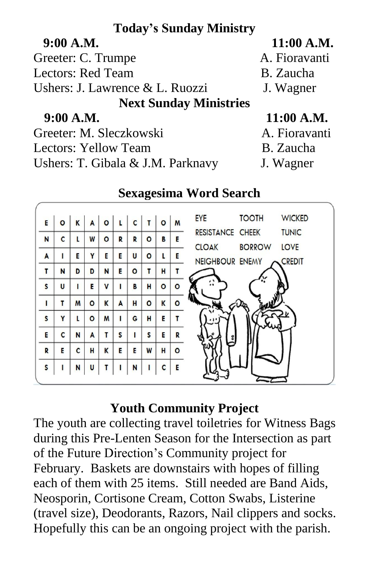## **Today's Sunday Ministry**

| 9:00 A.M.                       | 11:00 A.M.    |
|---------------------------------|---------------|
| Greeter: C. Trumpe              | A. Fioravanti |
| <b>Lectors: Red Team</b>        | B. Zaucha     |
| Ushers: J. Lawrence & L. Ruozzi | J. Wagner     |
| <b>Next Sunday Ministries</b>   |               |
| 9:00 A.M.                       | $11:00$ A.M.  |
| Greeter: M. Sleczkowski         | A. Fioravanti |
| Lectors: Yellow Team            | B. Zaucha     |
|                                 |               |

Ushers: T. Gibala & J.M. Parknavy J. Wagner

- 
- 

| E            | $\circ$ | K | A | O | L | C       | T       | $\circ$ | M       | <b>WICKED</b><br>EYE<br><b>TOOTH</b>                               |
|--------------|---------|---|---|---|---|---------|---------|---------|---------|--------------------------------------------------------------------|
| N            | C       | L | W | ٥ | R | R       | $\circ$ | в       | E       | <b>TUNIC</b><br><b>RESISTANCE CHEEK</b>                            |
| A            |         | E | Y | E | E | U       | $\circ$ | L       | Е       | LOVE<br><b>BORROW</b><br><b>CLOAK</b><br>NEIGHBOUR ENEMY<br>CREDIT |
| T            | N       | D | D | N | E | $\circ$ | T       | н       | т       |                                                                    |
| $\mathsf{s}$ | U       |   | E | V |   | B       | H       | $\circ$ | $\circ$ | $\ddot{\phantom{a}}$                                               |
| ı            | т       | M | ٥ | K | A | н       | $\circ$ | K       | ٥       |                                                                    |
| S            | Y       | L | O | M | ı | G       | H       | Е       |         |                                                                    |
| E            | C       | N | A | т | S |         | S       | E       | R       |                                                                    |
| R            | E       | C | н | K | E | E       | W       | н       | $\circ$ |                                                                    |
| $\mathsf{s}$ |         | N | U |   |   | N       |         | C       | E       |                                                                    |

## **Sexagesima Word Search**

## **Youth Community Project**

The youth are collecting travel toiletries for Witness Bags during this Pre-Lenten Season for the Intersection as part of the Future Direction's Community project for February. Baskets are downstairs with hopes of filling each of them with 25 items. Still needed are Band Aids, Neosporin, Cortisone Cream, Cotton Swabs, Listerine (travel size), Deodorants, Razors, Nail clippers and socks. Hopefully this can be an ongoing project with the parish.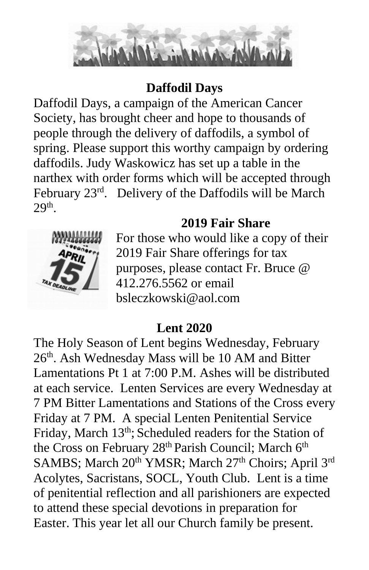

## **Daffodil Days**

Daffodil Days, a campaign of the American Cancer Society, has brought cheer and hope to thousands of people through the delivery of daffodils, a symbol of spring. Please support this worthy campaign by ordering daffodils. Judy Waskowicz has set up a table in the narthex with order forms which will be accepted through February 23<sup>rd</sup>. Delivery of the Daffodils will be March  $29<sup>th</sup>$ .

## **2019 Fair Share**



For those who would like a copy of their 2019 Fair Share offerings for tax purposes, please contact Fr. Bruce @ 412.276.5562 or email bsleczkowski@aol.com

## **Lent 2020**

The Holy Season of Lent begins Wednesday, February 26<sup>th</sup>. Ash Wednesday Mass will be 10 AM and Bitter Lamentations Pt 1 at 7:00 P.M. Ashes will be distributed at each service. Lenten Services are every Wednesday at 7 PM Bitter Lamentations and Stations of the Cross every Friday at 7 PM. A special Lenten Penitential Service Friday, March 13<sup>th</sup>; Scheduled readers for the Station of the Cross on February 28<sup>th</sup> Parish Council; March 6<sup>th</sup> SAMBS; March 20<sup>th</sup> YMSR; March 27<sup>th</sup> Choirs; April 3<sup>rd</sup> Acolytes, Sacristans, SOCL, Youth Club. Lent is a time of penitential reflection and all parishioners are expected to attend these special devotions in preparation for Easter. This year let all our Church family be present.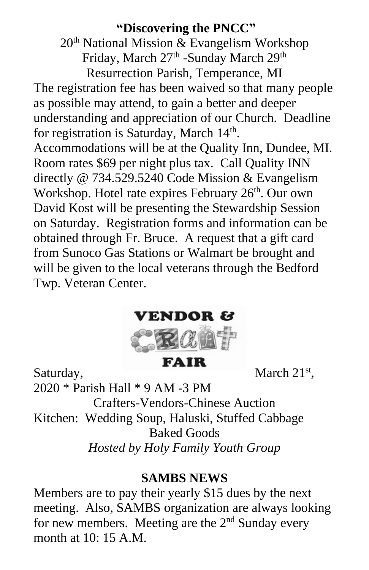## **"Discovering the PNCC"**

 $20<sup>th</sup>$  National Mission & Evangelism Workshop Friday, March 27<sup>th</sup> -Sunday March 29<sup>th</sup> Resurrection Parish, Temperance, MI The registration fee has been waived so that many people as possible may attend, to gain a better and deeper understanding and appreciation of our Church. Deadline for registration is Saturday, March 14<sup>th</sup>. Accommodations will be at the Quality Inn, Dundee, MI. Room rates \$69 per night plus tax. Call Quality INN directly @ 734.529.5240 Code Mission & Evangelism Workshop. Hotel rate expires February 26<sup>th</sup>. Our own David Kost will be presenting the Stewardship Session on Saturday. Registration forms and information can be obtained through Fr. Bruce. A request that a gift card from Sunoco Gas Stations or Walmart be brought and will be given to the local veterans through the Bedford Twp. Veteran Center.



**FAIR** 

Saturday, **March 21st**,

2020 \* Parish Hall \* 9 AM -3 PM

Crafters-Vendors-Chinese Auction

Kitchen: Wedding Soup, Haluski, Stuffed Cabbage

Baked Goods

*Hosted by Holy Family Youth Group*

#### **SAMBS NEWS**

Members are to pay their yearly \$15 dues by the next meeting. Also, SAMBS organization are always looking for new members. Meeting are the  $2<sup>nd</sup>$  Sunday every month at 10: 15 A.M.